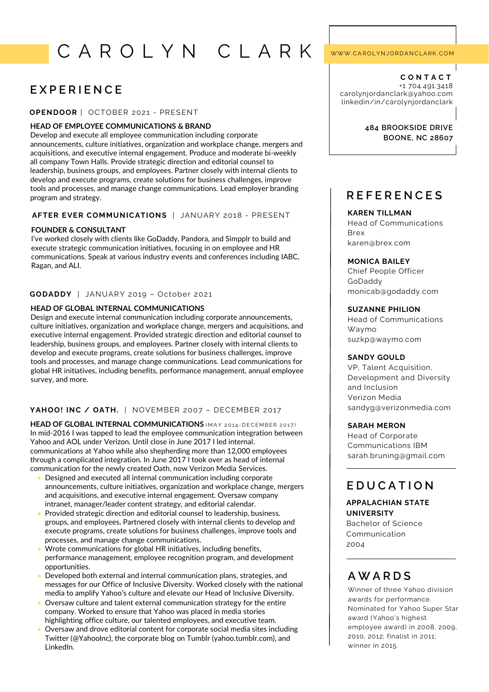# C A R O L Y N C L A R K

# **E X P E R I E N C E**

### **OPE N DOOR** | OCTOBER 2021 - PRESENT

### **HEAD OF EMPLOYEE COMMUNICATIONS & BRAND**

Develop and execute all employee communication including corporate announcements, culture initiatives, organization and workplace change, mergers and acquisitions, and executive internal engagement. Produce and moderate bi-weekly all company Town Halls. Provide strategic direction and editorial counsel to leadership, business groups, and employees. Partner closely with internal clients to develop and execute programs, create solutions for business challenges, improve tools and processes, and manage change communications. Lead employer branding program and strategy.

### **AFTER EVER COMMUNICATIONS | JANUARY 2018 - PRESENT**

### **FOUNDER & CONSULTANT**

I've worked closely with clients like GoDaddy, Pandora, and Simpplr to build and execute strategic communication initiatives, focusing in on employee and HR communications. Speak at various industry events and conferences including IABC, Ragan, and ALI.

### **GODADDY** | JANUARY 2019 – October 2021

### **HEAD OF GLOBAL INTERNAL COMMUNICATIONS**

Design and execute internal communication including corporate announcements, culture initiatives, organization and workplace change, mergers and acquisitions, and executive internal engagement. Provided strategic direction and editorial counsel to leadership, business groups, and employees. Partner closely with internal clients to develop and execute programs, create solutions for business challenges, improve tools and processes, and manage change communications. Lead communications for global HR initiatives, including benefits, performance management, annual employee survey, and more.

### **YAHOO! IN C / OATH.** | NOVEMBER 2007 – DECEMBER 2017

**HEAD OF GLOBAL INTERNAL COMMUNICATIONS** (MAY 2014-DECEMBER 2017) In mid-2016 I was tapped to lead the employee communication integration between Yahoo and AOL under Verizon. Until close in June 2017 I led internal. communications at Yahoo while also shepherding more than 12,000 employees through a complicated integration. In June 2017 I took over as head of internal communication for the newly created Oath, now Verizon Media Services.

- Designed and executed all internal communication including corporate announcements, culture initiatives, organization and workplace change, mergers and acquisitions, and executive internal engagement. Oversaw company intranet, manager/leader content strategy, and editorial calendar.
- Provided strategic direction and editorial counsel to leadership, business. groups, and employees. Partnered closely with internal clients to develop and execute programs, create solutions for business challenges, improve tools and processes, and manage change communications.
- Wrote communications for global HR initiatives, including benefits, performance management, employee recognition program, and development opportunities.
- Developed both external and internal communication plans, strategies, and messages for our Office of Inclusive Diversity. Worked closely with the national media to amplify Yahoo's culture and elevate our Head of Inclusive Diversity.
- Oversaw culture and talent external communication strategy for the entire company. Worked to ensure that Yahoo was placed in media stories highlighting office culture, our talented employees, and executive team.
- Oversaw and drove editorial content for corporate social media sites including Twitter (@YahooInc), the corporate blog on Tumblr (yahoo.tumblr.com), and LinkedIn.

### WWW.CAROLYNJORDANCLARK.COM

**C O N T A C T** +1 704.491.3418 carolynjordanclark@yahoo.com linkedin/in/carolynjordanclark

### **484 BROOKSIDE DRIVE BOONE, NC 28607**

# **R E F E R E N C E S**

### **KAREN TILLMAN**

Head of Communications Brex karen@brex.com

### **MONICA BAILEY**

Chief People Officer GoDaddy monicab@godaddy.com

### **SUZANNE PHILION**

Head of Communications Waymo suzkp@waymo.com

### **SANDY GOULD**

VP, Talent Acquisition, Development and Diversity and Inclusion Verizon Media sandyg@verizonmedia.com

### **SARAH MERON**

Head of Corporate Communications IBM sarah.bruning@gmail.com

# **E D U C A T I O N**

### **APPALACHIAN STATE UNIVERSITY**

Bachelor of Science Communication 2004

# **A W A R D S**

Winner of three Yahoo division awards for performance. Nominated for Yahoo Super Star award (Yahoo's highest employee award) in 2008, 2009, 2010, 2012; finalist in 2011; winner in 2015.